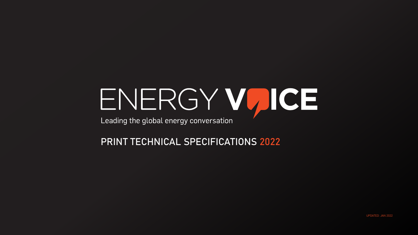# ENERGY VUICE

Leading the global energy conversation

PRINT TECHNICAL SPECIFICATIONS 2022



UPDATED: JAN 2022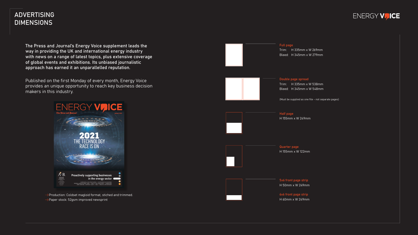# ADVERTISING DIMENSIONS

 $\rightarrow$  Production: Coldset magloid format, stiched and trimmed. Paper stock: 52gsm improved newsprint

The Press and Journal's Energy Voice supplement leads the way in providing the UK and international energy industry with news on a range of latest topics, plus extensive coverage of global events and exhibitions. Its unbiased journalistic approach has earned it an unparallelled reputation.

Published on the first Monday of every month, Energy Voice provides an unique opportunity to reach key business decision makers in this industry.



Trim: H 335mm x W 269mm Bleed: H 345mm x W 279mm

Trim: H 335mm x W 538mm Bleed: H 345mm x W 548mm

(Must be supplied as one file - not separate pages)



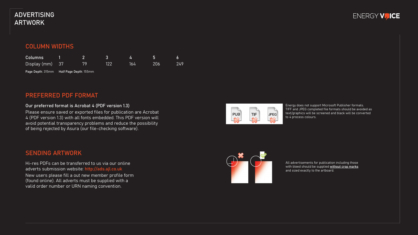# ADVERTISING ARTWORK

# COLUMN WIDTHS

Energy does not support Microsoft Publisher formats. TIFF and JPEG completed file formats should be avoided as text/graphics will be screened and black will be converted to 4 process colours.

All advertisements for publication including those with bleed should be supplied without crop marks and sized exactly to the artboard.



TIF

 $\rightsquigarrow$ 

 $|PUB$ 

 $\rightarrow$ 

 $|JPEG|$  $\rightsquigarrow$ 



# PREFERRED PDF FORMAT

| Columns         |     |     |     | ÆТ  |     |
|-----------------|-----|-----|-----|-----|-----|
| Display (mm) 37 | 70. | 122 | 164 | 206 | 249 |

Page Depth: 315mm Half Page Depth: 155mm

#### Our preferred format is Acrobat 4 (PDF version 1.3)

Please ensure saved or exported files for publication are Acrobat 4 (PDF version 1.3) with all fonts embedded. This PDF version will avoid potential transparency problems and reduce the possibility of being rejected by Asura (our file-checking software).

# SENDING ARTWORK

Hi-res PDFs can be transferred to us via our online adverts submission website: http://ads.ajl.co.uk New users please fill a out new member profile form (found online). All adverts must be supplied with a valid order number or URN naming convention.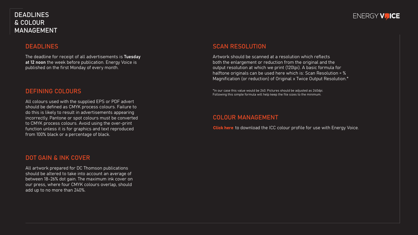# DEADLINES & COLOUR MANAGEMENT

#### DEFINING COLOURS

All colours used with the supplied EPS or PDF advert should be defined as CMYK process colours. Failure to do this is likely to result in advertisements appearing incorrectly. Pantone or spot colours must be converted to CMYK process colours. Avoid using the over-print function unless it is for graphics and text reproduced from 100% black or a percentage of black.

The deadline for receipt of all advertisements is Tuesday at 12 noon the week before publication. Energy Voice is published on the first Monday of every month.

# DOT GAIN & INK COVER

All artwork prepared for DC Thomson publications should be altered to take into account an average of between 18-26% dot gain. The maximum ink cover on our press, where four CMYK colours overlap, should add up to no more than 240%.

#### DEADLINES

### COLOUR MANAGEMENT

**Click here** to download the ICC colour profile for use with Energy Voice.

# ENERGY VUICE

#### SCAN RESOLUTION

Artwork should be scanned at a resolution which reflects both the enlargement or reduction from the original and the output resolution at which we print (120lpi). A basic formula for halftone originals can be used here which is: Scan Resolution = % Magnification (or reduction) of Original x Twice Output Resolution.\*

\*In our case this value would be 240. Pictures should be adjusted as 240dpi. Following this simple formula will help keep the file sizes to the minimum.